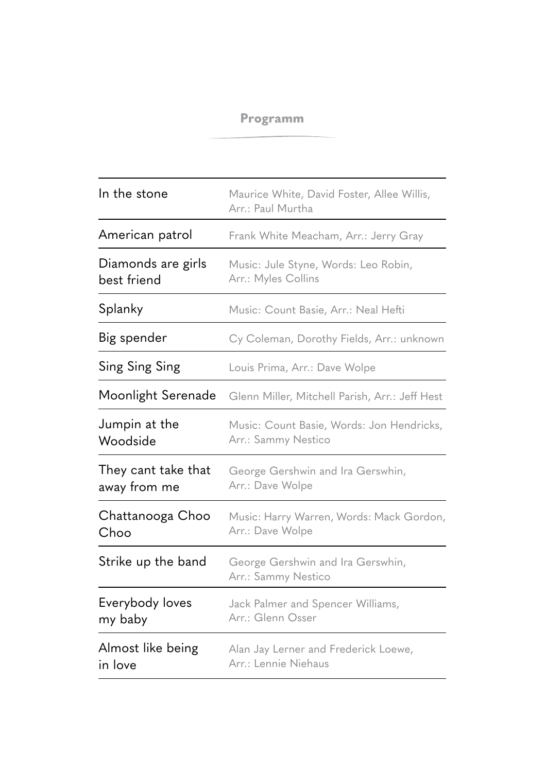## **Programm**

| In the stone                        | Maurice White, David Foster, Allee Willis,<br>Arr.: Paul Murtha  |
|-------------------------------------|------------------------------------------------------------------|
| American patrol                     | Frank White Meacham, Arr.: Jerry Gray                            |
| Diamonds are girls<br>best friend   | Music: Jule Styne, Words: Leo Robin,<br>Arr.: Myles Collins      |
| Splanky                             | Music: Count Basie, Arr.: Neal Hefti                             |
| Big spender                         | Cy Coleman, Dorothy Fields, Arr.: unknown                        |
| Sing Sing Sing                      | Louis Prima, Arr.: Dave Wolpe                                    |
| Moonlight Serenade                  | Glenn Miller, Mitchell Parish, Arr.: Jeff Hest                   |
| Jumpin at the<br>Woodside           | Music: Count Basie, Words: Jon Hendricks,<br>Arr.: Sammy Nestico |
| They cant take that<br>away from me | George Gershwin and Ira Gerswhin,<br>Arr.: Dave Wolpe            |
| Chattanooga Choo<br>Choo            | Music: Harry Warren, Words: Mack Gordon,<br>Arr.: Dave Wolpe     |
| Strike up the band                  | George Gershwin and Ira Gerswhin,<br>Arr.: Sammy Nestico         |
| Everybody loves<br>my baby          | Jack Palmer and Spencer Williams,<br>Arr.: Glenn Osser           |
| Almost like being<br>in love        | Alan Jay Lerner and Frederick Loewe,<br>Arr.: Lennie Niehaus     |